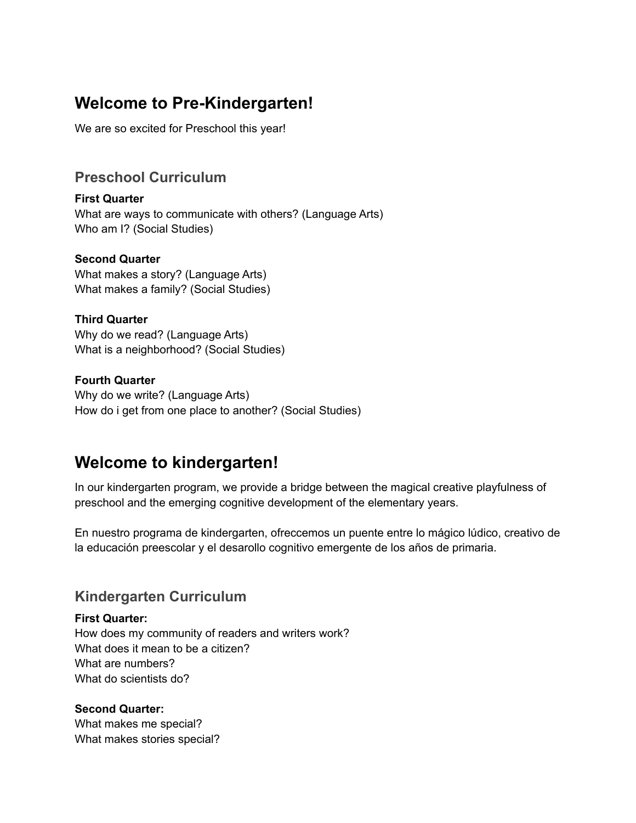# **Welcome to Pre-Kindergarten!**

We are so excited for Preschool this year!

## **Preschool Curriculum**

**First Quarter** What are ways to communicate with others? (Language Arts) Who am I? (Social Studies)

#### **Second Quarter**

What makes a story? (Language Arts) What makes a family? (Social Studies)

#### **Third Quarter**

Why do we read? (Language Arts) What is a neighborhood? (Social Studies)

#### **Fourth Quarter**

Why do we write? (Language Arts) How do i get from one place to another? (Social Studies)

# **Welcome to kindergarten!**

In our kindergarten program, we provide a bridge between the magical creative playfulness of preschool and the emerging cognitive development of the elementary years.

En nuestro programa de kindergarten, ofreccemos un puente entre lo mágico lúdico, creativo de la educación preescolar y el desarollo cognitivo emergente de los años de primaria.

## **Kindergarten Curriculum**

**First Quarter:**

How does my community of readers and writers work? What does it mean to be a citizen? What are numbers? What do scientists do?

#### **Second Quarter:**

What makes me special? What makes stories special?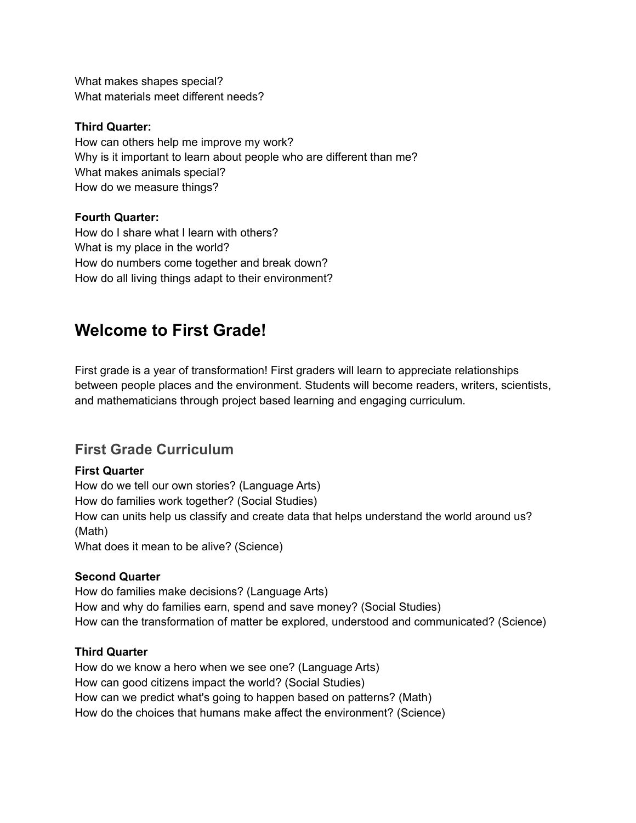What makes shapes special? What materials meet different needs?

### **Third Quarter:**

How can others help me improve my work? Why is it important to learn about people who are different than me? What makes animals special? How do we measure things?

## **Fourth Quarter:**

How do I share what I learn with others? What is my place in the world? How do numbers come together and break down? How do all living things adapt to their environment?

# **Welcome to First Grade!**

First grade is a year of transformation! First graders will learn to appreciate relationships between people places and the environment. Students will become readers, writers, scientists, and mathematicians through project based learning and engaging curriculum.

## **First Grade Curriculum**

## **First Quarter**

How do we tell our own stories? (Language Arts) How do families work together? (Social Studies) How can units help us classify and create data that helps understand the world around us? (Math) What does it mean to be alive? (Science)

#### **Second Quarter**

How do families make decisions? (Language Arts) How and why do families earn, spend and save money? (Social Studies) How can the transformation of matter be explored, understood and communicated? (Science)

#### **Third Quarter**

How do we know a hero when we see one? (Language Arts) How can good citizens impact the world? (Social Studies) How can we predict what's going to happen based on patterns? (Math) How do the choices that humans make affect the environment? (Science)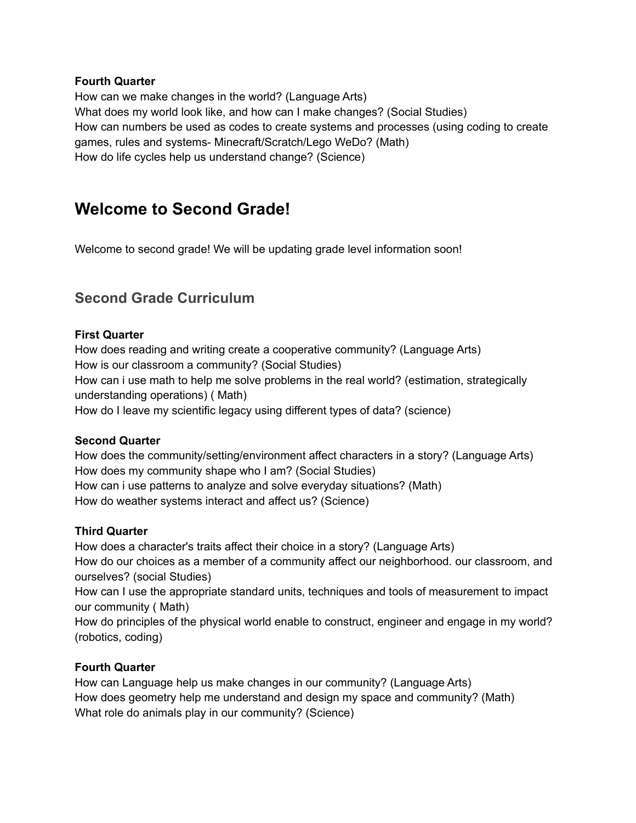#### **Fourth Quarter**

How can we make changes in the world? (Language Arts) What does my world look like, and how can I make changes? (Social Studies) How can numbers be used as codes to create systems and processes (using coding to create games, rules and systems- Minecraft/Scratch/Lego WeDo? (Math) How do life cycles help us understand change? (Science)

# **Welcome to Second Grade!**

Welcome to second grade! We will be updating grade level information soon!

## **Second Grade Curriculum**

#### **First Quarter**

How does reading and writing create a cooperative community? (Language Arts) How is our classroom a community? (Social Studies) How can i use math to help me solve problems in the real world? (estimation, strategically understanding operations) ( Math) How do I leave my scientific legacy using different types of data? (science)

#### **Second Quarter**

How does the community/setting/environment affect characters in a story? (Language Arts) How does my community shape who I am? (Social Studies) How can i use patterns to analyze and solve everyday situations? (Math) How do weather systems interact and affect us? (Science)

### **Third Quarter**

How does a character's traits affect their choice in a story? (Language Arts) How do our choices as a member of a community affect our neighborhood. our classroom, and ourselves? (social Studies) How can I use the appropriate standard units, techniques and tools of measurement to impact

our community ( Math)

How do principles of the physical world enable to construct, engineer and engage in my world? (robotics, coding)

## **Fourth Quarter**

How can Language help us make changes in our community? (Language Arts) How does geometry help me understand and design my space and community? (Math) What role do animals play in our community? (Science)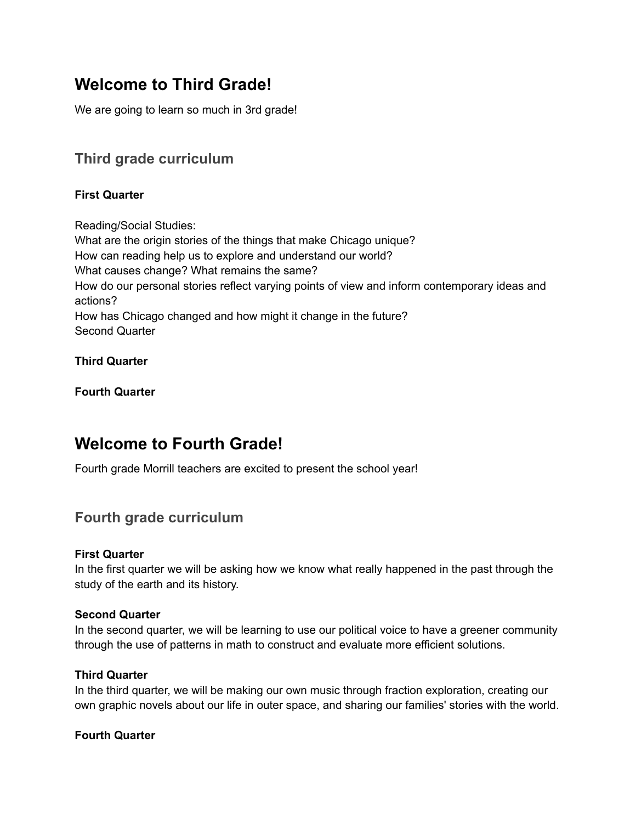# **Welcome to Third Grade!**

We are going to learn so much in 3rd grade!

# **Third grade curriculum**

## **First Quarter**

Reading/Social Studies: What are the origin stories of the things that make Chicago unique? How can reading help us to explore and understand our world? What causes change? What remains the same? How do our personal stories reflect varying points of view and inform contemporary ideas and actions? How has Chicago changed and how might it change in the future? Second Quarter

### **Third Quarter**

**Fourth Quarter**

# **Welcome to Fourth Grade!**

Fourth grade Morrill teachers are excited to present the school year!

## **Fourth grade curriculum**

#### **First Quarter**

In the first quarter we will be asking how we know what really happened in the past through the study of the earth and its history.

#### **Second Quarter**

In the second quarter, we will be learning to use our political voice to have a greener community through the use of patterns in math to construct and evaluate more efficient solutions.

#### **Third Quarter**

In the third quarter, we will be making our own music through fraction exploration, creating our own graphic novels about our life in outer space, and sharing our families' stories with the world.

#### **Fourth Quarter**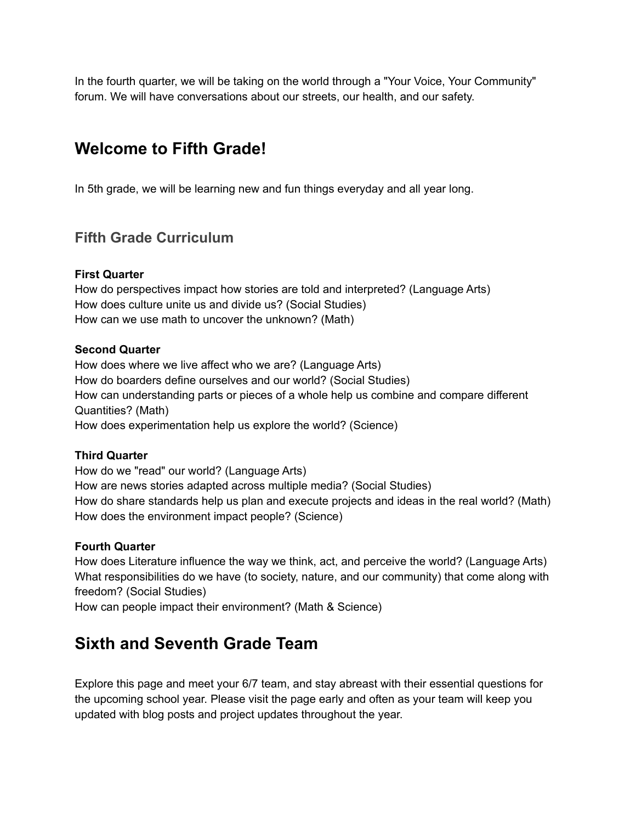In the fourth quarter, we will be taking on the world through a "Your Voice, Your Community" forum. We will have conversations about our streets, our health, and our safety.

# **Welcome to Fifth Grade!**

In 5th grade, we will be learning new and fun things everyday and all year long.

## **Fifth Grade Curriculum**

#### **First Quarter**

How do perspectives impact how stories are told and interpreted? (Language Arts) How does culture unite us and divide us? (Social Studies) How can we use math to uncover the unknown? (Math)

#### **Second Quarter**

How does where we live affect who we are? (Language Arts) How do boarders define ourselves and our world? (Social Studies) How can understanding parts or pieces of a whole help us combine and compare different Quantities? (Math) How does experimentation help us explore the world? (Science)

#### **Third Quarter**

How do we "read" our world? (Language Arts) How are news stories adapted across multiple media? (Social Studies) How do share standards help us plan and execute projects and ideas in the real world? (Math) How does the environment impact people? (Science)

#### **Fourth Quarter**

How does Literature influence the way we think, act, and perceive the world? (Language Arts) What responsibilities do we have (to society, nature, and our community) that come along with freedom? (Social Studies)

How can people impact their environment? (Math & Science)

# **Sixth and Seventh Grade Team**

Explore this page and meet your 6/7 team, and stay abreast with their essential questions for the upcoming school year. Please visit the page early and often as your team will keep you updated with blog posts and project updates throughout the year.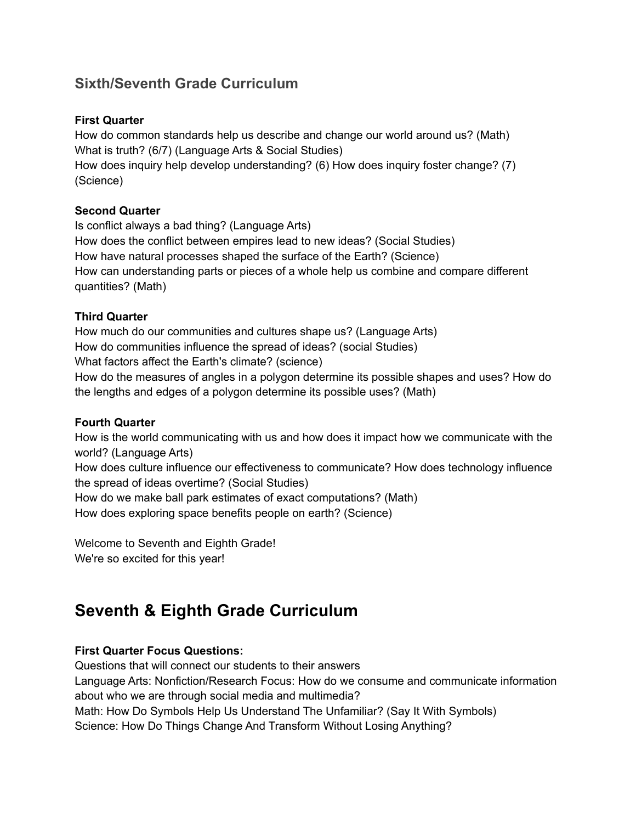# **Sixth/Seventh Grade Curriculum**

### **First Quarter**

How do common standards help us describe and change our world around us? (Math) What is truth? (6/7) (Language Arts & Social Studies) How does inquiry help develop understanding? (6) How does inquiry foster change? (7) (Science)

### **Second Quarter**

Is conflict always a bad thing? (Language Arts) How does the conflict between empires lead to new ideas? (Social Studies) How have natural processes shaped the surface of the Earth? (Science) How can understanding parts or pieces of a whole help us combine and compare different quantities? (Math)

### **Third Quarter**

How much do our communities and cultures shape us? (Language Arts) How do communities influence the spread of ideas? (social Studies) What factors affect the Earth's climate? (science) How do the measures of angles in a polygon determine its possible shapes and uses? How do the lengths and edges of a polygon determine its possible uses? (Math)

#### **Fourth Quarter**

How is the world communicating with us and how does it impact how we communicate with the world? (Language Arts)

How does culture influence our effectiveness to communicate? How does technology influence the spread of ideas overtime? (Social Studies)

How do we make ball park estimates of exact computations? (Math)

How does exploring space benefits people on earth? (Science)

Welcome to Seventh and Eighth Grade! We're so excited for this year!

# **Seventh & Eighth Grade Curriculum**

## **First Quarter Focus Questions:**

Questions that will connect our students to their answers Language Arts: Nonfiction/Research Focus: How do we consume and communicate information about who we are through social media and multimedia? Math: How Do Symbols Help Us Understand The Unfamiliar? (Say It With Symbols) Science: How Do Things Change And Transform Without Losing Anything?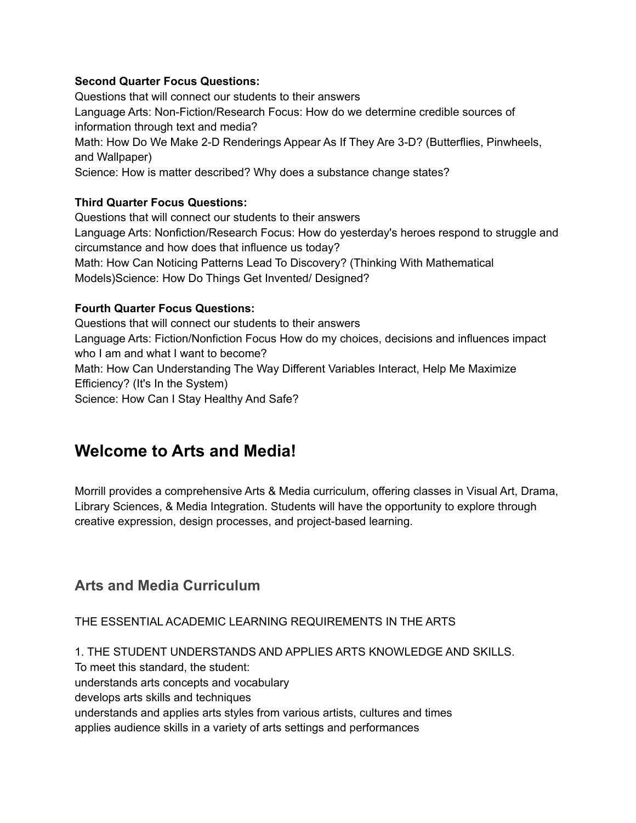#### **Second Quarter Focus Questions:**

Questions that will connect our students to their answers Language Arts: Non-Fiction/Research Focus: How do we determine credible sources of information through text and media? Math: How Do We Make 2-D Renderings Appear As If They Are 3-D? (Butterflies, Pinwheels, and Wallpaper) Science: How is matter described? Why does a substance change states?

#### **Third Quarter Focus Questions:**

Questions that will connect our students to their answers Language Arts: Nonfiction/Research Focus: How do yesterday's heroes respond to struggle and circumstance and how does that influence us today? Math: How Can Noticing Patterns Lead To Discovery? (Thinking With Mathematical Models)Science: How Do Things Get Invented/ Designed?

#### **Fourth Quarter Focus Questions:**

Questions that will connect our students to their answers Language Arts: Fiction/Nonfiction Focus How do my choices, decisions and influences impact who I am and what I want to become? Math: How Can Understanding The Way Different Variables Interact, Help Me Maximize Efficiency? (It's In the System) Science: How Can I Stay Healthy And Safe?

# **Welcome to Arts and Media!**

Morrill provides a comprehensive Arts & Media curriculum, offering classes in Visual Art, Drama, Library Sciences, & Media Integration. Students will have the opportunity to explore through creative expression, design processes, and project-based learning.

## **Arts and Media Curriculum**

THE ESSENTIAL ACADEMIC LEARNING REQUIREMENTS IN THE ARTS

1. THE STUDENT UNDERSTANDS AND APPLIES ARTS KNOWLEDGE AND SKILLS. To meet this standard, the student: understands arts concepts and vocabulary develops arts skills and techniques understands and applies arts styles from various artists, cultures and times applies audience skills in a variety of arts settings and performances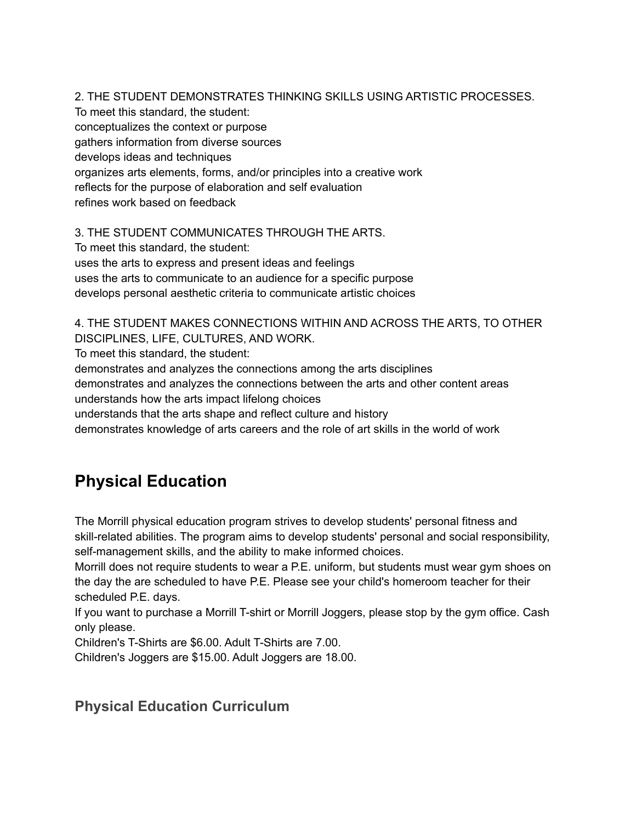2. THE STUDENT DEMONSTRATES THINKING SKILLS USING ARTISTIC PROCESSES.

To meet this standard, the student: conceptualizes the context or purpose gathers information from diverse sources develops ideas and techniques organizes arts elements, forms, and/or principles into a creative work reflects for the purpose of elaboration and self evaluation refines work based on feedback

3. THE STUDENT COMMUNICATES THROUGH THE ARTS.

To meet this standard, the student: uses the arts to express and present ideas and feelings uses the arts to communicate to an audience for a specific purpose develops personal aesthetic criteria to communicate artistic choices

4. THE STUDENT MAKES CONNECTIONS WITHIN AND ACROSS THE ARTS, TO OTHER DISCIPLINES, LIFE, CULTURES, AND WORK.

To meet this standard, the student:

demonstrates and analyzes the connections among the arts disciplines

demonstrates and analyzes the connections between the arts and other content areas

understands how the arts impact lifelong choices

understands that the arts shape and reflect culture and history

demonstrates knowledge of arts careers and the role of art skills in the world of work

# **Physical Education**

The Morrill physical education program strives to develop students' personal fitness and skill-related abilities. The program aims to develop students' personal and social responsibility, self-management skills, and the ability to make informed choices.

Morrill does not require students to wear a P.E. uniform, but students must wear gym shoes on the day the are scheduled to have P.E. Please see your child's homeroom teacher for their scheduled P.E. days.

If you want to purchase a Morrill T-shirt or Morrill Joggers, please stop by the gym office. Cash only please.

Children's T-Shirts are \$6.00. Adult T-Shirts are 7.00.

Children's Joggers are \$15.00. Adult Joggers are 18.00.

# **Physical Education Curriculum**